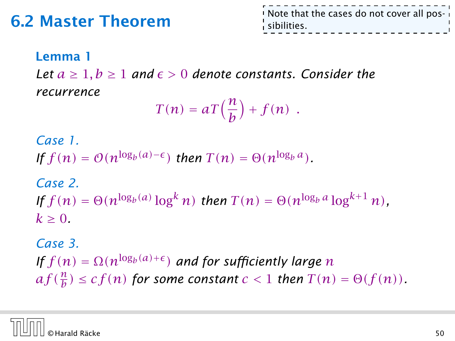### 6.2 Master Theorem

Note that the cases do not cover all possibilities.

#### Lemma 1

*Let*  $a \ge 1$ ,  $b \ge 1$  *and*  $\epsilon > 0$  *denote constants. Consider the recurrence*

$$
T(n) = aT\left(\frac{n}{b}\right) + f(n) \enspace .
$$

*Case 1. If*  $f(n) = O(n^{\log_b(a) - \epsilon})$  *then*  $T(n) = \Theta(n^{\log_b a})$ *.* 

*Case 2. If*  $f(n) = \Theta(n^{\log_b(a)} \log^k n)$  *then*  $T(n) = \Theta(n^{\log_b a} \log^{k+1} n)$ .  $k > 0$ .

*Case 3. If*  $f(n) = \Omega(n^{\log_b(a) + \epsilon})$  and for sufficiently large *n*  $af(\frac{n}{b}) \leq cf(n)$  *for some constant*  $c < 1$  *then*  $T(n) = \Theta(f(n))$ *.* 

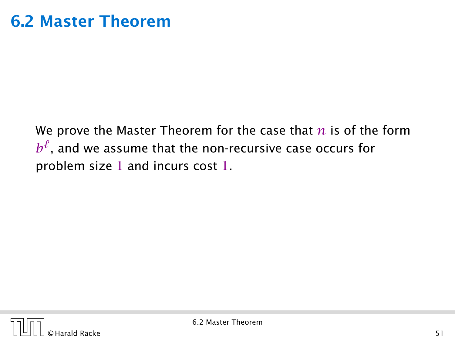We prove the Master Theorem for the case that *n* is of the form  $b^\ell$ , and we assume that the non-recursive case occurs for problem size 1 and incurs cost 1.

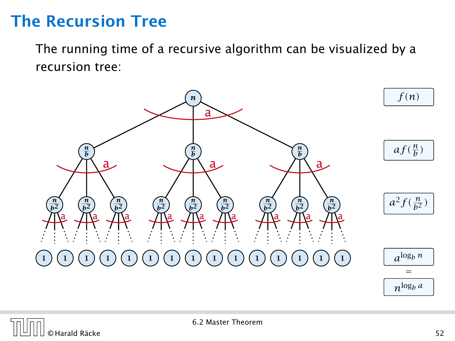### The Recursion Tree

The running time of a recursive algorithm can be visualized by a recursion tree:



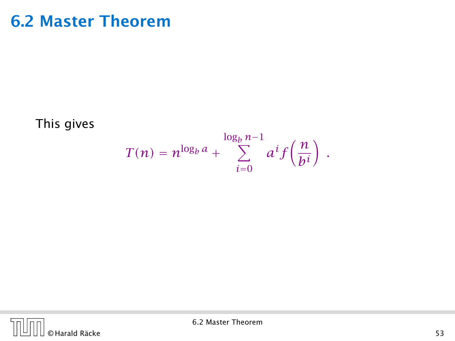### 6.2 Master Theorem

This gives

$$
T(n) = n^{\log_b a} + \sum_{i=0}^{\log_b n - 1} a^i f\left(\frac{n}{b^i}\right) .
$$

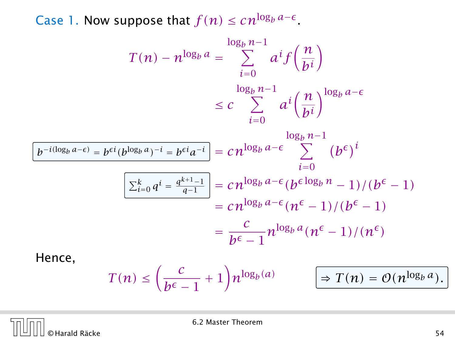Case 1. Now suppose that  $f(n) \leq c n^{\log_b a - \epsilon}$ .

$$
T(n) - n^{\log_b a} = \sum_{i=0}^{\log_b n - 1} a^i f\left(\frac{n}{b^i}\right)
$$
  

$$
\leq c \sum_{i=0}^{\log_b n - 1} a^i \left(\frac{n}{b^i}\right)^{\log_b a - \epsilon}
$$
  

$$
\frac{b^{-i(\log_b a - \epsilon)} = b^{\epsilon i} (b^{\log_b a})^{-i} = b^{\epsilon i} a^{-i}}{b^{-i(\log_b a) - i}} = c n^{\log_b a - \epsilon} \sum_{i=0}^{\log_b n - 1} (b^{\epsilon})^i
$$
  

$$
\frac{\sum_{i=0}^k q^i = \frac{q^{k+1} - 1}{q - 1}}{z n^{\log_b a - \epsilon} (b^{\epsilon \log_b n} - 1)/(b^{\epsilon} - 1)}
$$
  

$$
= c n^{\log_b a - \epsilon} (n^{\epsilon} - 1)/(b^{\epsilon} - 1)
$$
  
Hence,  
Hence,  

$$
T(n) - n^{\log_b a} = \sum_{i=0}^{\log_b n - 1} a^i f\left(\frac{n}{b^i}\right)
$$

$$
T(n) \leq \left(\frac{c}{b^{\epsilon}-1}+1\right) n^{\log_b(a)} \qquad \boxed{\Rightarrow T(n) = O(n^{\log_b a})}.
$$



6.2 Master Theorem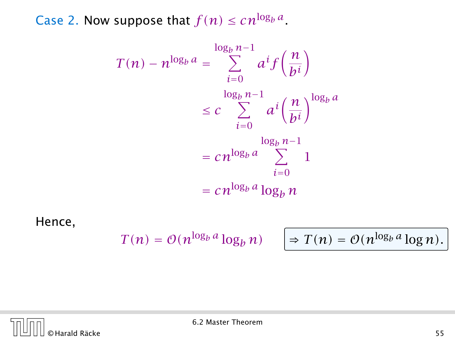Case 2. Now suppose that  $f(n) \leq c n^{\log_b a}$ .

$$
T(n) - n^{\log_b a} = \sum_{i=0}^{\log_b n - 1} a^i f\left(\frac{n}{b^i}\right)
$$
  

$$
\leq c \sum_{i=0}^{\log_b n - 1} a^i \left(\frac{n}{b^i}\right)^{\log_b a}
$$
  

$$
= c n^{\log_b a} \sum_{i=0}^{\log_b n - 1} 1
$$
  

$$
= c n^{\log_b a} \log_b n
$$

Hence,

$$
T(n) = \mathcal{O}(n^{\log_b a} \log_b n)
$$

$$
\log_b n) \quad \bigg| \Rightarrow T(n) = O(n^{\log_b a} \log n).
$$

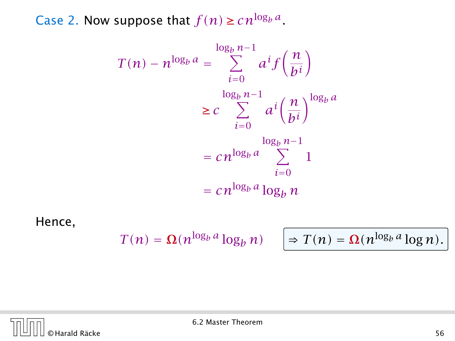Case 2. Now suppose that  $f(n) \geq c n^{\log_b a}$ .

$$
T(n) - n^{\log_b a} = \sum_{i=0}^{\log_b n - 1} a^i f\left(\frac{n}{bi}\right)
$$

$$
\geq c \sum_{i=0}^{\log_b n - 1} a^i \left(\frac{n}{bi}\right)^{\log_b a}
$$

$$
= c n^{\log_b a} \sum_{i=0}^{\log_b n - 1} 1
$$

$$
= c n^{\log_b a} \log_b n
$$

Hence,

$$
T(n) = \Omega(n^{\log_b a} \log_b n)
$$

$$
\log_b n) \quad \bigg| \Rightarrow T(n) = \Omega(n^{\log_b a} \log n).
$$

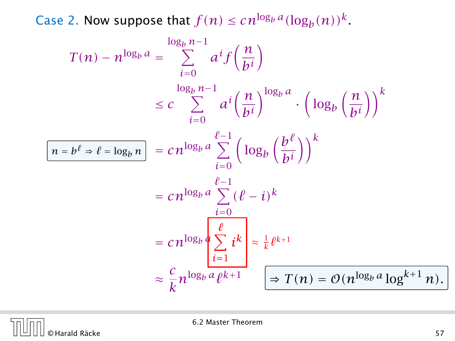Case 2. Now suppose that  $f(n) \leq c n^{\log_b a} (\log_b(n))^k$ .

$$
T(n) - n^{\log_b a} = \sum_{i=0}^{\log_b n - 1} a^i f\left(\frac{n}{b^i}\right)
$$
  
\n
$$
\leq c \sum_{i=0}^{\log_b n - 1} a^i \left(\frac{n}{b^i}\right)^{\log_b a} \cdot \left(\log_b \left(\frac{n}{b^i}\right)\right)^k
$$
  
\n
$$
\frac{n = b^{\ell} \Rightarrow \ell = \log_b n}{n} = cn^{\log_b a} \sum_{i=0}^{\ell-1} \left(\log_b \left(\frac{b^{\ell}}{b^i}\right)\right)^k
$$
  
\n
$$
= cn^{\log_b a} \sum_{i=0}^{\ell-1} (\ell - i)^k
$$
  
\n
$$
= cn^{\log_b a} \sum_{i=1}^{\ell} i^k \approx \frac{1}{k} \ell^{k+1}
$$
  
\n
$$
\approx \frac{c}{k} n^{\log_b a} \ell^{k+1} \qquad \boxed{\Rightarrow T(n) = O(n^{\log_b a} \log^{k+1} n)}.
$$

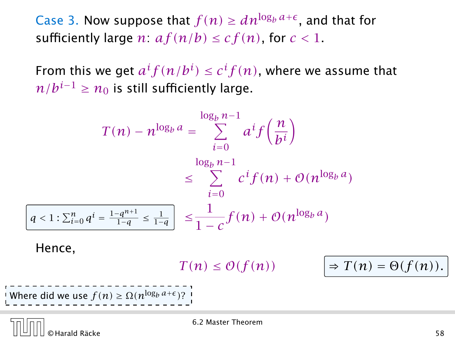Case 3. Now suppose that  $f(n) \geq dn^{\log_b a + \epsilon}$ , and that for sufficiently large *n*:  $af(n/b) \leq cf(n)$ , for  $c < 1$ .

From this we get  $a^if(n/b^i) \leq c^if(n)$ , where we assume that *n*/ $b^{i-1}$  ≥  $n_0$  is still sufficiently large.

$$
T(n) - n^{\log_b a} = \sum_{i=0}^{\log_b n - 1} a^i f\left(\frac{n}{b^i}\right)
$$
  

$$
\leq \sum_{i=0}^{\log_b n - 1} c^i f(n) + O(n^{\log_b a})
$$
  

$$
< 1: \sum_{i=0}^n q^i = \frac{1 - q^{n+1}}{1 - q} \leq \frac{1}{1 - q} \leq \frac{1}{1 - c} f(n) + O(n^{\log_b a})
$$

Hence,

*g* 

 $T(n) \leq \mathcal{O}(f(n))$ 

 $\Rightarrow$   $T(n) = \Theta(f(n)).$ 

Where did we use  $f(n) \ge \Omega(n^{\log_b a + \epsilon})$ ?

© Harald Räcke 58

6.2 Master Theorem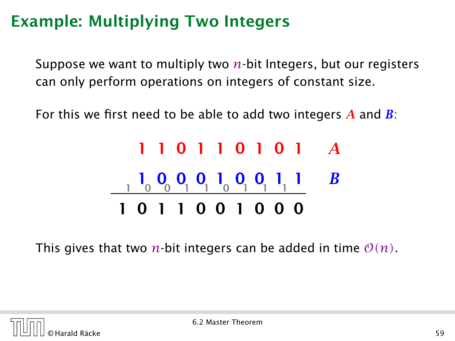Suppose we want to multiply two *n*-bit Integers, but our registers can only perform operations on integers of constant size.

For this we first need to be able to add two integers *A* and *B*:

# 1 1 0 1 1 0 1 0 1 *A* 1 0 0 0 1 0 0 1 1 *B* 1 0 0 1 1 0 1 1 1 1 0 1 1 0 0 1 0 0 0

This gives that two *n*-bit integers can be added in time  $\mathcal{O}(n)$ .

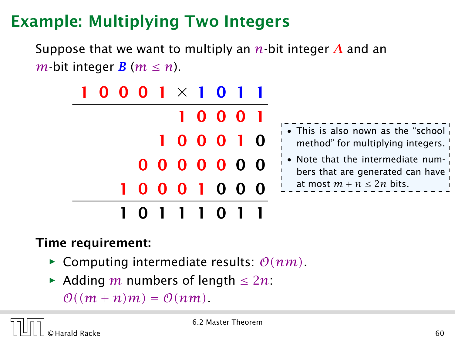Suppose that we want to multiply an *n*-bit integer *A* and an *m*-bit integer *B* ( $m \le n$ ).

|  |  | $0001 \times 1011$ |  |       |  |
|--|--|--------------------|--|-------|--|
|  |  |                    |  | 10001 |  |
|  |  | 100010             |  |       |  |
|  |  | 0000000            |  |       |  |
|  |  | 0001000            |  |       |  |
|  |  | 0 1 1 1 0 1 1      |  |       |  |

| • This is also nown as the "school" |
|-------------------------------------|
| method" for multiplying integers.   |
| • Note that the intermediate num-   |

#### bers that are generated can ha at most  $m + n \leq 2n$  bits.

#### Time requirement:

- $\blacktriangleright$  Computing intermediate results:  $\mathcal{O}(nm)$ .
- *<sup>ñ</sup>* Adding *m* numbers of length ≤ 2*n*:

 $\mathcal{O}((m+n)m) = \mathcal{O}(nm)$ .

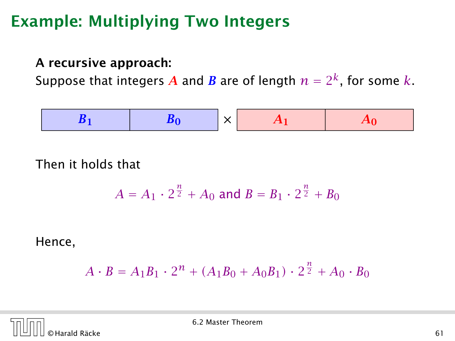#### A recursive approach:

Suppose that integers  $\boldsymbol{A}$  and  $\boldsymbol{B}$  are of length  $n = 2^k$ , for some  $k$ .



Then it holds that

$$
A = A_1 \cdot 2^{\frac{n}{2}} + A_0 \text{ and } B = B_1 \cdot 2^{\frac{n}{2}} + B_0
$$

Hence,

$$
A \cdot B = A_1 B_1 \cdot 2^n + (A_1 B_0 + A_0 B_1) \cdot 2^{\frac{n}{2}} + A_0 \cdot B_0
$$

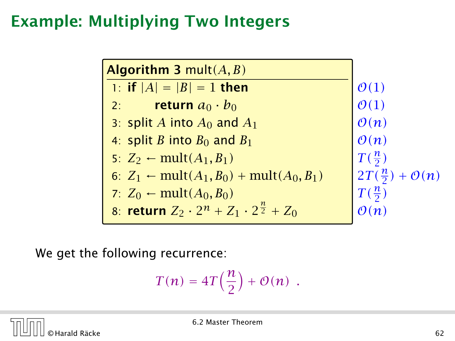| <b>Algorithm 3 mult</b> $(A, B)$                                   |                          |
|--------------------------------------------------------------------|--------------------------|
| 1: if $ A  =  B  = 1$ then                                         | $\mathcal{O}(1)$         |
| return $a_0 \cdot b_0$<br>2:                                       | $\mathcal{O}(1)$         |
| 3: split A into $A_0$ and $A_1$                                    | $\mathcal{O}(n)$         |
| 4: split B into $B_0$ and $B_1$                                    | $\mathcal{O}(n)$         |
| 5: $Z_2$ ← mult(A <sub>1</sub> , B <sub>1</sub> )                  | $T(\frac{n}{2})$         |
| 6: $Z_1 \leftarrow \text{mult}(A_1, B_0) + \text{mult}(A_0, B_1)$  | $2T(\frac{n}{2}) + O(n)$ |
| 7: $Z_0$ ← mult( $A_0, B_0$ )                                      | $T(\frac{n}{2})$         |
| 8: <b>return</b> $Z_2 \cdot 2^n + Z_1 \cdot 2^{\frac{n}{2}} + Z_0$ |                          |

We get the following recurrence:

$$
T(n) = 4T\left(\frac{n}{2}\right) + \mathcal{O}(n) \enspace .
$$

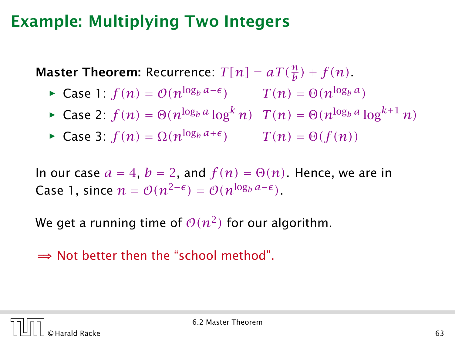**Master Theorem:** Recurrence:  $T[n] = aT(\frac{n}{b}) + f(n)$ .

• Case 1: 
$$
f(n) = O(n^{\log_b a - \epsilon})
$$
  $T(n) = \Theta(n^{\log_b a})$ 

• Case 2: 
$$
f(n) = \Theta(n^{\log_b a} \log^k n) \quad T(n) = \Theta(n^{\log_b a} \log^{k+1} n)
$$

 $\blacktriangleright$  Case 3: *f*(*n*) = Ω(*n*<sup>log<sub>*b*</sub> *a*+*ε*) *T*(*n*) = Θ(*f*(*n*))</sup>

In our case  $a = 4$ ,  $b = 2$ , and  $f(n) = \Theta(n)$ . Hence, we are in Case 1, since  $n = O(n^{2-\epsilon}) = O(n^{\log_b a - \epsilon})$ .

We get a running time of  $\mathcal{O}(n^2)$  for our algorithm.

 $\Rightarrow$  Not better then the "school method".

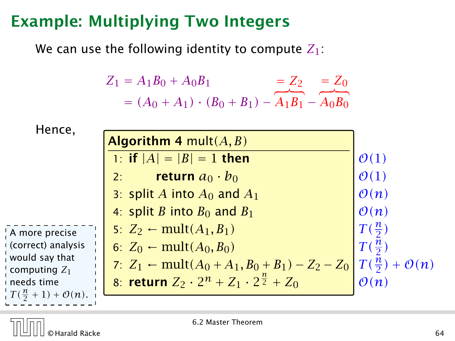We can use the following identity to compute *Z*1:

$$
Z_1 = A_1 B_0 + A_0 B_1 = Z_2 = Z_0
$$
  
=  $(A_0 + A_1) \cdot (B_0 + B_1) - A_1 B_1 - A_0 B_0$ 

| Hence,                              |                                                                    |                         |
|-------------------------------------|--------------------------------------------------------------------|-------------------------|
|                                     | <b>Algorithm 4 mult</b> $(A, B)$                                   |                         |
|                                     | 1: if $ A  =  B  = 1$ then                                         | $\mathcal{O}(1)$        |
|                                     | return $a_0 \cdot b_0$<br>2:                                       | $\mathcal{O}(1)$        |
|                                     | 3: split A into $A_0$ and $A_1$                                    | $\mathcal{O}(n)$        |
|                                     | 4: split B into $B_0$ and $B_1$                                    | $\mathcal{O}(n)$        |
| A more precise                      | 5: $Z_2$ ← mult(A <sub>1</sub> , B <sub>1</sub> )                  | $T(\frac{n}{2})$        |
| (correct) analysis                  | 6: $Z_0 \leftarrow \text{mult}(A_0, B_0)$                          | $T(\frac{n}{2})$        |
| would say that<br>computing $Z_1$   | 7: $Z_1 \leftarrow \text{mult}(A_0 + A_1, B_0 + B_1) - Z_2 - Z_0$  | $T(\frac{n}{2}) + O(n)$ |
| needs time                          | 8: <b>return</b> $Z_2 \cdot 2^n + Z_1 \cdot 2^{\frac{n}{2}} + Z_0$ | $\mathcal{O}(n)$        |
| $T(\frac{n}{2}+1)+\mathcal{O}(n)$ . |                                                                    |                         |

6.2 Master Theorem

 $\frac{1}{1}$  $\mathbf{I}$  $\mathbf{I}$  $\mathbf{I}$  $\blacksquare$  $\mathbf{I}$  $\mathbf{I}$  $\mathbf{I}$ i.